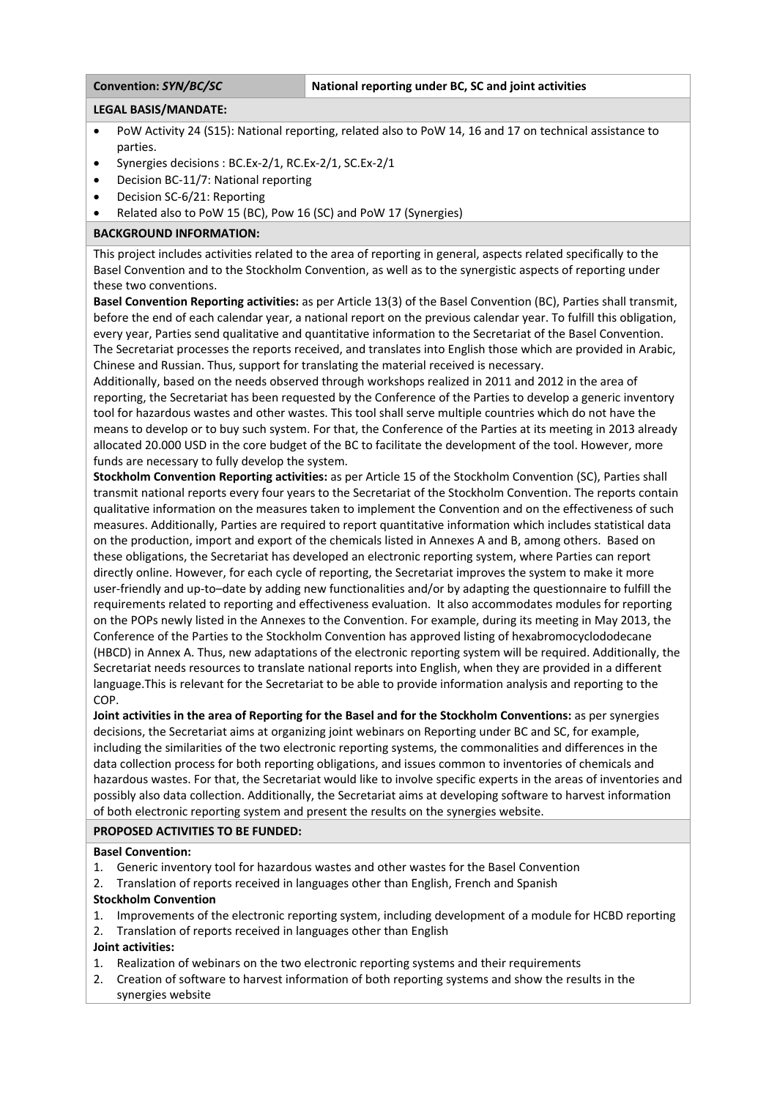# **Convention:** *SYN/BC/SC* **National reporting under BC, SC and joint activities**

## **LEGAL BASIS/MANDATE:**

- PoW Activity 24 (S15): National reporting, related also to PoW 14, 16 and 17 on technical assistance to parties.
- Synergies decisions : BC.Ex‐2/1, RC.Ex‐2/1, SC.Ex‐2/1
- Decision BC-11/7: National reporting
- Decision SC‐6/21: Reporting
- Related also to PoW 15 (BC), Pow 16 (SC) and PoW 17 (Synergies)

## **BACKGROUND INFORMATION:**

This project includes activities related to the area of reporting in general, aspects related specifically to the Basel Convention and to the Stockholm Convention, as well as to the synergistic aspects of reporting under these two conventions.

**Basel Convention Reporting activities:** as per Article 13(3) of the Basel Convention (BC), Parties shall transmit, before the end of each calendar year, a national report on the previous calendar year. To fulfill this obligation, every year, Parties send qualitative and quantitative information to the Secretariat of the Basel Convention. The Secretariat processes the reports received, and translates into English those which are provided in Arabic, Chinese and Russian. Thus, support for translating the material received is necessary.

Additionally, based on the needs observed through workshops realized in 2011 and 2012 in the area of reporting, the Secretariat has been requested by the Conference of the Parties to develop a generic inventory tool for hazardous wastes and other wastes. This tool shall serve multiple countries which do not have the means to develop or to buy such system. For that, the Conference of the Parties at its meeting in 2013 already allocated 20.000 USD in the core budget of the BC to facilitate the development of the tool. However, more funds are necessary to fully develop the system.

**Stockholm Convention Reporting activities:** as per Article 15 of the Stockholm Convention (SC), Parties shall transmit national reports every four years to the Secretariat of the Stockholm Convention. The reports contain qualitative information on the measures taken to implement the Convention and on the effectiveness of such measures. Additionally, Parties are required to report quantitative information which includes statistical data on the production, import and export of the chemicals listed in Annexes A and B, among others. Based on these obligations, the Secretariat has developed an electronic reporting system, where Parties can report directly online. However, for each cycle of reporting, the Secretariat improves the system to make it more user-friendly and up-to-date by adding new functionalities and/or by adapting the questionnaire to fulfill the requirements related to reporting and effectiveness evaluation. It also accommodates modules for reporting on the POPs newly listed in the Annexes to the Convention. For example, during its meeting in May 2013, the Conference of the Parties to the Stockholm Convention has approved listing of hexabromocyclododecane (HBCD) in Annex A. Thus, new adaptations of the electronic reporting system will be required. Additionally, the Secretariat needs resources to translate national reports into English, when they are provided in a different language.This is relevant for the Secretariat to be able to provide information analysis and reporting to the COP.

**Joint activities in the area of Reporting for the Basel and for the Stockholm Conventions:** as per synergies decisions, the Secretariat aims at organizing joint webinars on Reporting under BC and SC, for example, including the similarities of the two electronic reporting systems, the commonalities and differences in the data collection process for both reporting obligations, and issues common to inventories of chemicals and hazardous wastes. For that, the Secretariat would like to involve specific experts in the areas of inventories and possibly also data collection. Additionally, the Secretariat aims at developing software to harvest information of both electronic reporting system and present the results on the synergies website.

### **PROPOSED ACTIVITIES TO BE FUNDED:**

### **Basel Convention:**

- 1. Generic inventory tool for hazardous wastes and other wastes for the Basel Convention
- 2. Translation of reports received in languages other than English, French and Spanish

### **Stockholm Convention**

- 1. Improvements of the electronic reporting system, including development of a module for HCBD reporting
- 2. Translation of reports received in languages other than English

# **Joint activities:**

- 1. Realization of webinars on the two electronic reporting systems and their requirements
- 2. Creation of software to harvest information of both reporting systems and show the results in the synergies website